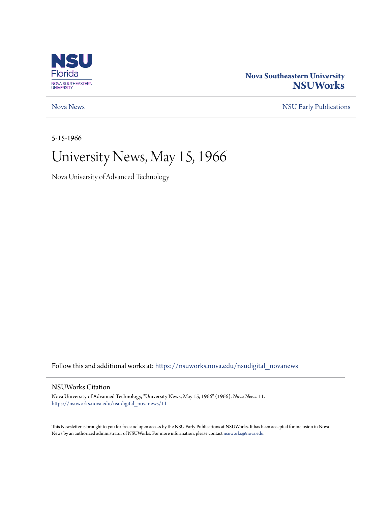

### **Nova Southeastern University [NSUWorks](https://nsuworks.nova.edu?utm_source=nsuworks.nova.edu%2Fnsudigital_novanews%2F11&utm_medium=PDF&utm_campaign=PDFCoverPages)**

[Nova News](https://nsuworks.nova.edu/nsudigital_novanews?utm_source=nsuworks.nova.edu%2Fnsudigital_novanews%2F11&utm_medium=PDF&utm_campaign=PDFCoverPages) [NSU Early Publications](https://nsuworks.nova.edu/nsudigital_earlypubs?utm_source=nsuworks.nova.edu%2Fnsudigital_novanews%2F11&utm_medium=PDF&utm_campaign=PDFCoverPages)

5-15-1966

## University News, May 15, 1966

Nova University of Advanced Technology

Follow this and additional works at: [https://nsuworks.nova.edu/nsudigital\\_novanews](https://nsuworks.nova.edu/nsudigital_novanews?utm_source=nsuworks.nova.edu%2Fnsudigital_novanews%2F11&utm_medium=PDF&utm_campaign=PDFCoverPages)

#### NSUWorks Citation

Nova University of Advanced Technology, "University News, May 15, 1966" (1966). *Nova News*. 11. [https://nsuworks.nova.edu/nsudigital\\_novanews/11](https://nsuworks.nova.edu/nsudigital_novanews/11?utm_source=nsuworks.nova.edu%2Fnsudigital_novanews%2F11&utm_medium=PDF&utm_campaign=PDFCoverPages)

This Newsletter is brought to you for free and open access by the NSU Early Publications at NSUWorks. It has been accepted for inclusion in Nova News by an authorized administrator of NSUWorks. For more information, please contact [nsuworks@nova.edu.](mailto:nsuworks@nova.edu)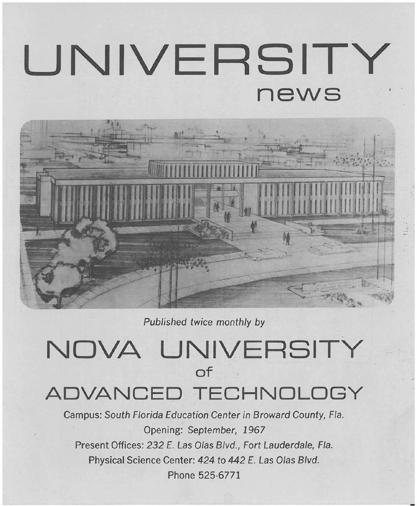# **UNIVERSITY news**



Published twice monthly by

## **NOVA UNIVERSITY of ADVANCED TECHNOLOGY**

Campus: South Florida Education Center in Broward County, Fla. Opening: September, 1967 Present Offices: 232 E. Las Olas Blvd., Fort Lauderdale, Fla. Physical Science Center: 424 to 442 E. Las Olas Blvd. Phone 525·6771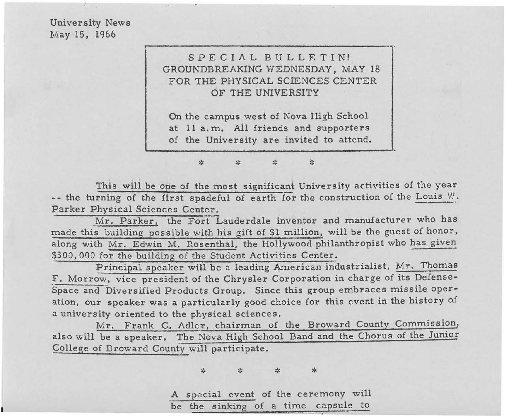University News May 15, 1966



On the campus west of Nova High School at 11 a.m. All friends and supporters of the University are invited to attend.

This will be one of the most significant University activities of the year **--** the turning of the first spadeful of earth for the construction of the Louis *Vl.*  Parker Physical Sciences Center,

\* \* \* \*

Mr. Parker, the Fort Lauderdale inventor and manufacturer who has made this building possible with his gift of \$1 million, will be the guest of honor, along with Mr. Edwin M. Rosenthal, the Hollywood philanthropist who has given \$300,000 for the building of the Student Activities Center.

Principal speaker will be a leading American industrialist, Mr. Thomas F. Morrow, vice president of the Chrysler Corporation in charge of its Defense-Space and Diversified Products Group. Since this group embraces missile operation, our speaker was a particularly good choice for this event in the history of a university oriented to the physical sciences.

Mr. Frank C. Adler, chairman of the Broward County Commission, also will be a speaker. The Nova High School Band and the Chorus of the Junior College of Broward County will participate.

\* \* \* \*

A special event of the ceremony will be the sinking of a time capsule to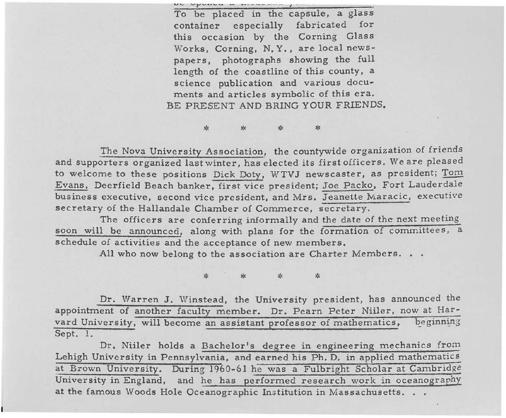$\mathbf{w}$  *v*  $\mathbf{v}$   $\mathbf{v}$   $\mathbf{v}$   $\mathbf{v}$   $\mathbf{w}$   $\mathbf{v}$   $\mathbf{v}$   $\mathbf{v}$   $\mathbf{v}$   $\mathbf{v}$   $\mathbf{v}$   $\mathbf{v}$   $\mathbf{v}$   $\mathbf{v}$   $\mathbf{v}$   $\mathbf{v}$   $\mathbf{v}$   $\mathbf{v}$   $\mathbf{v}$   $\mathbf{v}$   $\mathbf{v}$   $\mathbf{v}$   $\mathbf{v}$   $\$ 'To be placed in the capsule, a glass container especially fabricated for this occasion by the Corning Glass Works, Corning, N. Y., are local newspapers, photographs showing the full length of the coastline of this county, a science publication and various documents and articles symbolic of this era. BE PRESENT AND BRING YOUR FRIENDS.

The Nova University Association, the countywide organization of friends and supporters organized last winter, has elected its first officers. We are pleased to welcome to these positions Dick Doty, WTVJ newscaster, as president; Tom Evans, Deerfield Beach banker, first vice president; Joe Packo, Fort Lauderdale business executive, second vice president, and Mrs. Jeanette Maracic, executive secretary of the Hallandale Chamber of Commerce, secretary.

\* :« \* \*

The officers are conferring informally and the date of the next meeting soon will be announced, along with plans for the formation of committees, a schedule of activities and the acceptance of new members.

All who now belong to the association are Charter Members. . .

\* \* :« \*

Dr. Warren J. Winstead, the University president, has announced the appointment of another faculty member. Dr. Pearn Peter Niiler, now at Harvard University, will become an assistant professor of mathematics, beginning Sept. 1.

Dr. Niiler holds a Bachelor's degree in engineering mechanics from Lehigh University in Pennsylvania, and earned his Ph. D. in applied mathematics at Brown University. During 1960-61 he was a Fulbright Scholar at Cambridge University in England, and he has performed research work in oceanography at the famous Woods Hole Oceanographic Institution in Massachusetts. . .